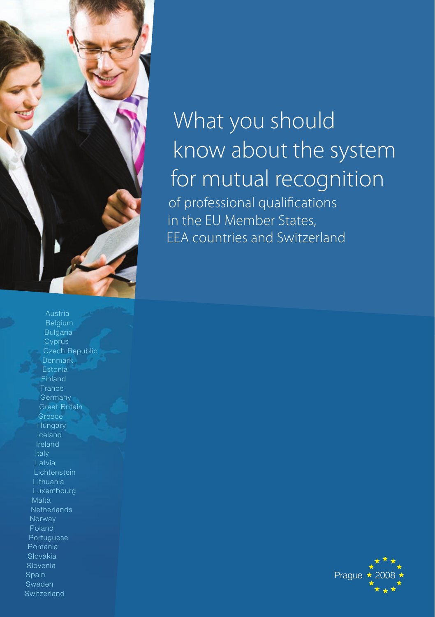

What you should know about the system for mutual recognition of professional qualifications in the EU Member States, EEA countries and Switzerland

Bulgaria **Cyprus** Czech Republic Denmark Estonia Finland Great Britain **Greece Hungary** Latvia **Lichtenstein** Lithuania Luxembourg Malta **Netherlands** Norway Poland Portuguese Romania Slovakia Slovenia Spain Sweden **Switzerland** 

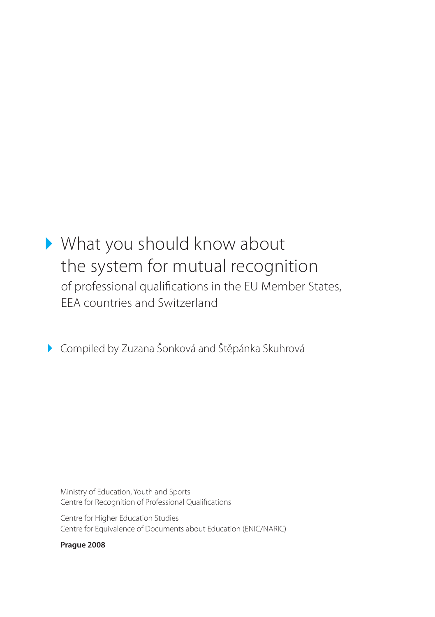# What you should know about the system for mutual recognition of professional qualifications in the EU Member States, EEA countries and Switzerland

Compiled by Zuzana Šonková and Štěpánka Skuhrová

Ministry of Education, Youth and Sports Centre for Recognition of Professional Qualifications

Centre for Higher Education Studies Centre for Equivalence of Documents about Education (ENIC/NARIC)

**Prague 2008**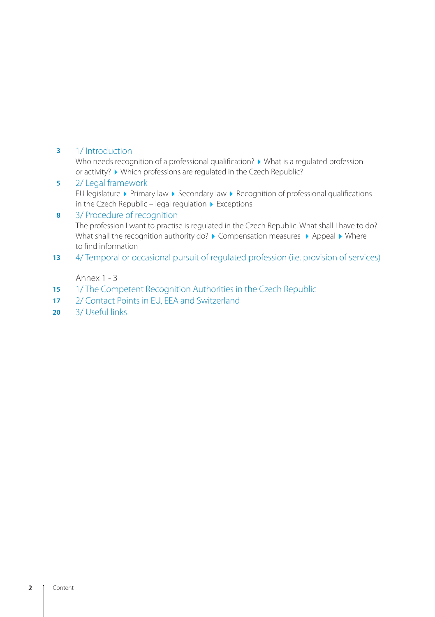#### 1/ Introduction **3**

Who needs recognition of a professional qualification?  $\blacktriangleright$  What is a regulated profession or activity? • Which professions are regulated in the Czech Republic?

#### 2/ Legal framework **5**

EU legislature  $\blacktriangleright$  Primary law  $\blacktriangleright$  Secondary law  $\blacktriangleright$  Recognition of professional qualifications in the Czech Republic – legal regulation  $\blacktriangleright$  Exceptions

#### 3/ Procedure of recognition **8**

The profession I want to practise is regulated in the Czech Republic. What shall I have to do? What shall the recognition authority do?  $\blacktriangleright$  Compensation measures  $\blacktriangleright$  Appeal  $\blacktriangleright$  Where to find information

4/ Temporal or occasional pursuit of regulated profession (i.e. provision of services) **13**

# Annex 1 - 3

- 1/ The Competent Recognition Authorities in the Czech Republic **15**
- 2/ Contact Points in EU, EEA and Switzerland **17**
- 3/ Useful links **20**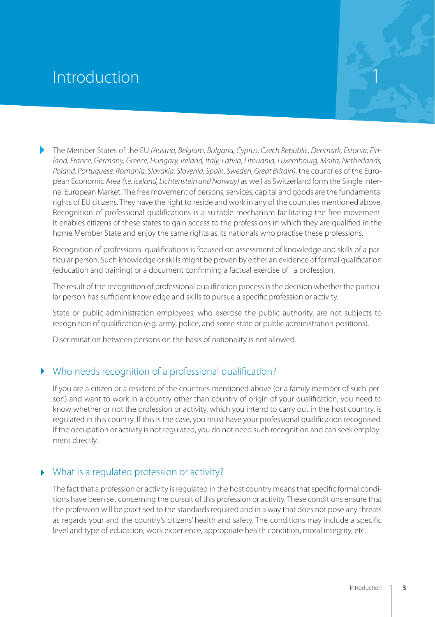# **Introduction**

The Member States of the EU *(Austria, Belgium, Bulgaria, Cyprus, Czech Republic, Denmark, Estonia, Finland, France, Germany, Greece, Hungary, Ireland, Italy, Latvia, Lithuania, Luxembourg, Malta, Netherlands, Poland, Portuguese, Romania, Slovakia, Slovenia, Spain, Sweden, Great Britain)*, the countries of the European Economic Area *(i.e. Iceland, Lichtenstein and Norway)* as well as Switzerland form the Single Internal European Market. The free movement of persons, services, capital and goods are the fundamental rights of EU citizens. They have the right to reside and work in any of the countries mentioned above. Recognition of professional qualifications is a suitable mechanism facilitating the free movement. It enables citizens of these states to gain access to the professions in which they are qualified in the home Member State and enjoy the same rights as its nationals who practise these professions.

Recognition of professional qualifications is focused on assessment of knowledge and skills of a particular person. Such knowledge or skills might be proven by either an evidence of formal qualification (education and training) or a document confirming a factual exercise of a profession.

The result of the recognition of professional qualification process is the decision whether the particular person has sufficient knowledge and skills to pursue a specific profession or activity.

State or public administration employees, who exercise the public authority, are not subjects to recognition of qualification (e.g. army, police, and some state or public administration positions).

Discrimination between persons on the basis of nationality is not allowed.

# Who needs recognition of a professional qualification?

If you are a citizen or a resident of the countries mentioned above (or a family member of such person) and want to work in a country other than country of origin of your qualification, you need to know whether or not the profession or activity, which you intend to carry out in the host country, is regulated in this country. If this is the case, you must have your professional qualification recognised. If the occupation or activity is not regulated, you do not need such recognition and can seek employment directly.

# What is a regulated profession or activity?

The fact that a profession or activity is regulated in the host country means that specific formal conditions have been set concerning the pursuit of this profession or activity. These conditions ensure that the profession will be practised to the standards required and in a way that does not pose any threats as regards your and the country's citizens' health and safety. The conditions may include a specific level and type of education, work experience, appropriate health condition, moral integrity, etc.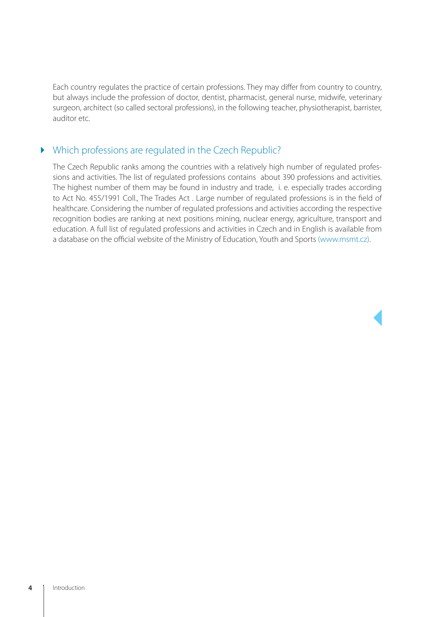Each country regulates the practice of certain professions. They may differ from country to country, but always include the profession of doctor, dentist, pharmacist, general nurse, midwife, veterinary surgeon, architect (so called sectoral professions), in the following teacher, physiotherapist, barrister, auditor etc.

# Which professions are regulated in the Czech Republic?

The Czech Republic ranks among the countries with a relatively high number of regulated professions and activities. The list of regulated professions contains about 390 professions and activities. The highest number of them may be found in industry and trade, i. e. especially trades according to Act No. 455/1991 Coll., The Trades Act . Large number of regulated professions is in the field of healthcare. Considering the number of regulated professions and activities according the respective recognition bodies are ranking at next positions mining, nuclear energy, agriculture, transport and education. A full list of regulated professions and activities in Czech and in English is available from a database on the official website of the Ministry of Education, Youth and Sports (www.msmt.cz).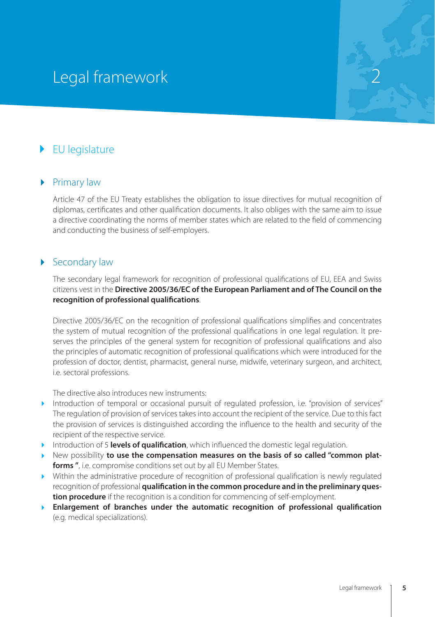# Legal framework

# EU legislature

# ▶ Primary law

Article 47 of the EU Treaty establishes the obligation to issue directives for mutual recognition of diplomas, certificates and other qualification documents. It also obliges with the same aim to issue a directive coordinating the norms of member states which are related to the field of commencing and conducting the business of self-employers.

# Secondary law

The secondary legal framework for recognition of professional qualifications of EU, EEA and Swiss citizens vest in the **Directive 2005/36/EC of the European Parliament and of The Council on the recognition of professional qualifications**.

Directive 2005/36/EC on the recognition of professional qualifications simplifies and concentrates the system of mutual recognition of the professional qualifications in one legal regulation. It preserves the principles of the general system for recognition of professional qualifications and also the principles of automatic recognition of professional qualifications which were introduced for the profession of doctor, dentist, pharmacist, general nurse, midwife, veterinary surgeon, and architect, i.e. sectoral professions.

The directive also introduces new instruments:

- Introduction of temporal or occasional pursuit of regulated profession, i.e. "provision of services" The regulation of provision of services takes into account the recipient of the service. Due to this fact the provision of services is distinguished according the influence to the health and security of the recipient of the respective service.
- **Introduction of 5 levels of qualification**, which influenced the domestic legal regulation.
- **New possibility to use the compensation measures on the basis of so called "common platforms "**, i.e. compromise conditions set out by all EU Member States.
- Within the administrative procedure of recognition of professional qualification is newly regulated recognition of professional **qualification in the common procedure and in the preliminary question procedure** if the recognition is a condition for commencing of self-employment.
- **Enlargement of branches under the automatic recognition of professional qualification** (e.g. medical specializations).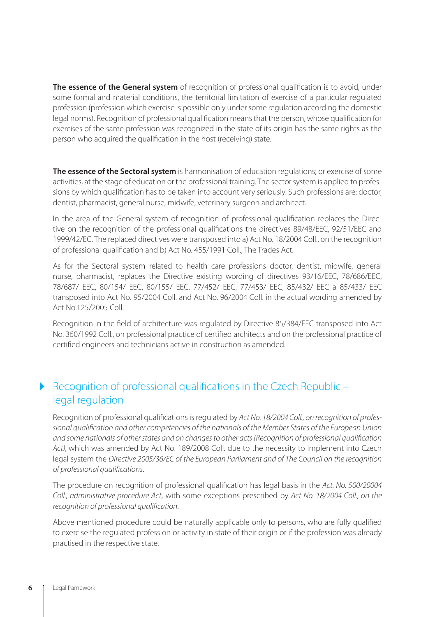**The essence of the General system** of recognition of professional qualification is to avoid, under some formal and material conditions, the territorial limitation of exercise of a particular regulated profession (profession which exercise is possible only under some regulation according the domestic legal norms). Recognition of professional qualification means that the person, whose qualification for exercises of the same profession was recognized in the state of its origin has the same rights as the person who acquired the qualification in the host (receiving) state.

**The essence of the Sectoral system** is harmonisation of education regulations; or exercise of some activities, at the stage of education or the professional training. The sector system is applied to professions by which qualification has to be taken into account very seriously. Such professions are: doctor, dentist, pharmacist, general nurse, midwife, veterinary surgeon and architect.

In the area of the General system of recognition of professional qualification replaces the Directive on the recognition of the professional qualifications the directives 89/48/EEC, 92/51/EEC and 1999/42/EC. The replaced directives were transposed into a) Act No. 18/2004 Coll., on the recognition of professional qualification and b) Act No. 455/1991 Coll., The Trades Act.

As for the Sectoral system related to health care professions doctor, dentist, midwife, general nurse, pharmacist, replaces the Directive existing wording of directives 93/16/EEC, 78/686/EEC, 78/687/ EEC, 80/154/ EEC, 80/155/ EEC, 77/452/ EEC, 77/453/ EEC, 85/432/ EEC a 85/433/ EEC transposed into Act No. 95/2004 Coll. and Act No. 96/2004 Coll. in the actual wording amended by Act No.125/2005 Coll.

Recognition in the field of architecture was regulated by Directive 85/384/EEC transposed into Act No. 360/1992 Coll., on professional practice of certified architects and on the professional practice of certified engineers and technicians active in construction as amended.

# ▶ Recognition of professional qualifications in the Czech Republic – legal regulation

Recognition of professional qualifications is regulated by *Act No. 18/2004 Coll., on recognition of professional qualification and other competencies of the nationals of the Member States of the European Union and some nationals of other states and on changes to other acts (Recognition of professional qualification Act),* which was amended by Act No. 189/2008 Coll. due to the necessity to implement into Czech legal system the *Directive 2005/36/EC of the European Parliament and of The Council on the recognition of professional qualifications*.

The procedure on recognition of professional qualification has legal basis in the *Act. No. 500/20004 Coll., administrative procedure Act*, with some exceptions prescribed by *Act No. 18/2004 Coll., on the recognition of professional qualification*.

Above mentioned procedure could be naturally applicable only to persons, who are fully qualified to exercise the regulated profession or activity in state of their origin or if the profession was already practised in the respective state.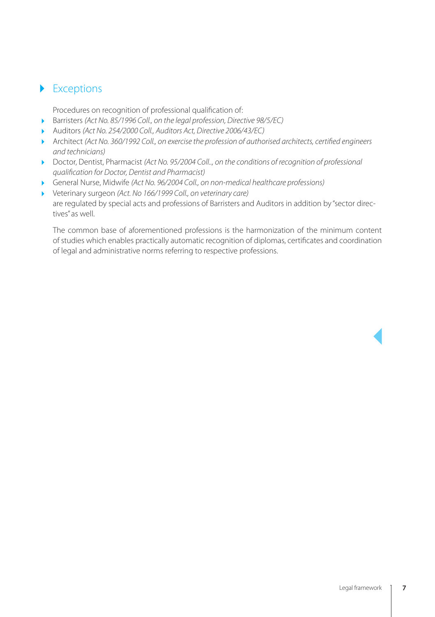# Exceptions

Procedures on recognition of professional qualification of:

- Barristers *(Act No. 85/1996 Coll., on the legal profession, Directive 98/5/EC)*
- Auditors *(Act No. 254/2000 Coll., Auditors Act, Directive 2006/43/EC)*
- Architect *(Act No. 360/1992 Coll., on exercise the profession of authorised architects, certified engineers and technicians)*
- ▶ Doctor, Dentist, Pharmacist *(Act No. 95/2004 Coll.., on the conditions of recognition of professional qualification for Doctor, Dentist and Pharmacist)*
- General Nurse, Midwife *(Act No. 96/2004 Coll., on non-medical healthcare professions)*
- Veterinary surgeon *(Act. No 166/1999 Coll., on veterinary care)* are regulated by special acts and professions of Barristers and Auditors in addition by "sector directives" as well.

The common base of aforementioned professions is the harmonization of the minimum content of studies which enables practically automatic recognition of diplomas, certificates and coordination of legal and administrative norms referring to respective professions.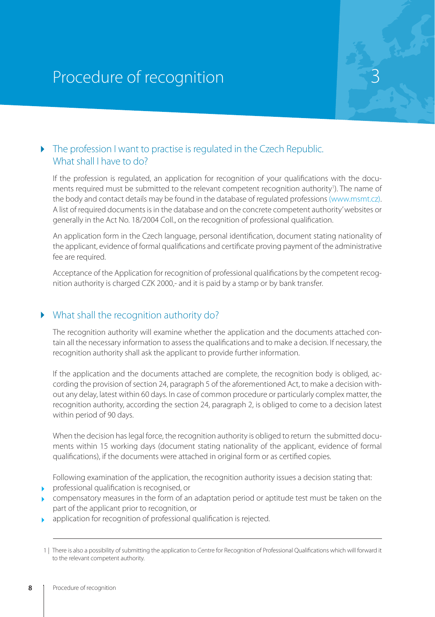# Procedure of recognition

# $\triangleright$  The profession I want to practise is regulated in the Czech Republic. What shall I have to do?

If the profession is regulated, an application for recognition of your qualifications with the documents required must be submitted to the relevant competent recognition authority<sup>1</sup>). The name of the body and contact details may be found in the database of regulated professions (www.msmt.cz). A list of required documents is in the database and on the concrete competent authority' websites or generally in the Act No. 18/2004 Coll., on the recognition of professional qualification.

An application form in the Czech language, personal identification, document stating nationality of the applicant, evidence of formal qualifications and certificate proving payment of the administrative fee are required.

Acceptance of the Application for recognition of professional qualifications by the competent recognition authority is charged CZK 2000,- and it is paid by a stamp or by bank transfer.

# What shall the recognition authority do?

The recognition authority will examine whether the application and the documents attached contain all the necessary information to assess the qualifications and to make a decision. If necessary, the recognition authority shall ask the applicant to provide further information.

If the application and the documents attached are complete, the recognition body is obliged, according the provision of section 24, paragraph 5 of the aforementioned Act, to make a decision without any delay, latest within 60 days. In case of common procedure or particularly complex matter, the recognition authority, according the section 24, paragraph 2, is obliged to come to a decision latest within period of 90 days.

When the decision has legal force, the recognition authority is obliged to return the submitted documents within 15 working days (document stating nationality of the applicant, evidence of formal qualifications), if the documents were attached in original form or as certified copies.

Following examination of the application, the recognition authority issues a decision stating that:

- **professional qualification is recognised, or**
- compensatory measures in the form of an adaptation period or aptitude test must be taken on the part of the applicant prior to recognition, or
- **application for recognition of professional qualification is rejected.**

<sup>1 |</sup> There is also a possibility of submitting the application to Centre for Recognition of Professional Qualifications which will forward it to the relevant competent authority.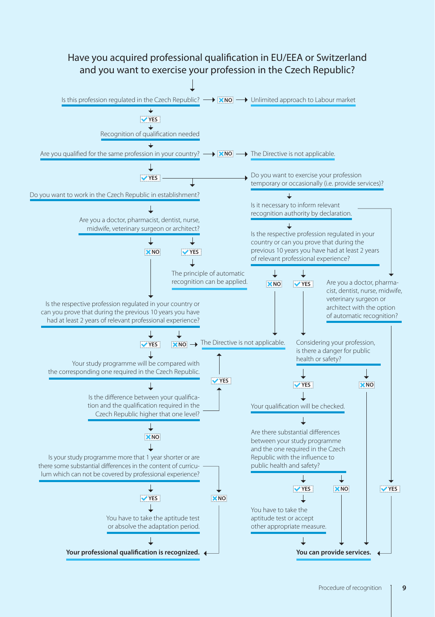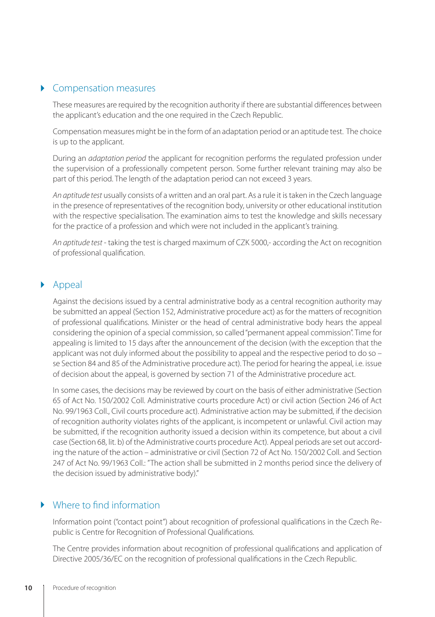# Compensation measures

These measures are required by the recognition authority if there are substantial differences between the applicant's education and the one required in the Czech Republic.

Compensation measures might be in the form of an adaptation period or an aptitude test. The choice is up to the applicant.

During an *adaptation period* the applicant for recognition performs the regulated profession under the supervision of a professionally competent person. Some further relevant training may also be part of this period. The length of the adaptation period can not exceed 3 years.

*An aptitude test* usually consists of a written and an oral part. As a rule it is taken in the Czech language in the presence of representatives of the recognition body, university or other educational institution with the respective specialisation. The examination aims to test the knowledge and skills necessary for the practice of a profession and which were not included in the applicant's training.

*An aptitude test* - taking the test is charged maximum of CZK 5000,- according the Act on recognition of professional qualification.

# Appeal

Against the decisions issued by a central administrative body as a central recognition authority may be submitted an appeal (Section 152, Administrative procedure act) as for the matters of recognition of professional qualifications. Minister or the head of central administrative body hears the appeal considering the opinion of a special commission, so called "permanent appeal commission". Time for appealing is limited to 15 days after the announcement of the decision (with the exception that the applicant was not duly informed about the possibility to appeal and the respective period to do so – se Section 84 and 85 of the Administrative procedure act). The period for hearing the appeal, i.e. issue of decision about the appeal, is governed by section 71 of the Administrative procedure act.

In some cases, the decisions may be reviewed by court on the basis of either administrative (Section 65 of Act No. 150/2002 Coll. Administrative courts procedure Act) or civil action (Section 246 of Act No. 99/1963 Coll., Civil courts procedure act). Administrative action may be submitted, if the decision of recognition authority violates rights of the applicant, is incompetent or unlawful. Civil action may be submitted, if the recognition authority issued a decision within its competence, but about a civil case (Section 68, lit. b) of the Administrative courts procedure Act). Appeal periods are set out according the nature of the action – administrative or civil (Section 72 of Act No. 150/2002 Coll. and Section 247 of Act No. 99/1963 Coll.: "The action shall be submitted in 2 months period since the delivery of the decision issued by administrative body)."

# Where to find information

Information point ("contact point") about recognition of professional qualifications in the Czech Republic is Centre for Recognition of Professional Qualifications.

The Centre provides information about recognition of professional qualifications and application of Directive 2005/36/EC on the recognition of professional qualifications in the Czech Republic.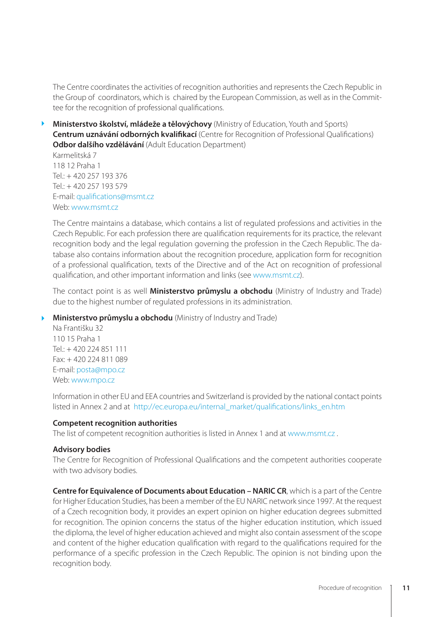The Centre coordinates the activities of recognition authorities and represents the Czech Republic in the Group of coordinators, which is chaired by the European Commission, as well as in the Committee for the recognition of professional qualifications.

**Ministerstvo školství, mládeže a tělovýchovy** (Ministry of Education, Youth and Sports) **Centrum uznávání odborných kvalifikací** (Centre for Recognition of Professional Qualifications) **Odbor dalšího vzdělávání** (Adult Education Department)

Karmelitská 7 118 12 Praha 1  $Tel + 420 257 193 376$  $Tel + 420 257 193 579$ E-mail: qualifications@msmt.cz Web: www.msmt.cz

The Centre maintains a database, which contains a list of regulated professions and activities in the Czech Republic. For each profession there are qualification requirements for its practice, the relevant recognition body and the legal regulation governing the profession in the Czech Republic. The database also contains information about the recognition procedure, application form for recognition of a professional qualification, texts of the Directive and of the Act on recognition of professional qualification, and other important information and links (see www.msmt.cz).

The contact point is as well **Ministerstvo průmyslu a obchodu** (Ministry of Industry and Trade) due to the highest number of regulated professions in its administration.

# **Ministerstvo průmyslu a obchodu** (Ministry of Industry and Trade)

Na Františku 32 110 15 Praha 1 Tel.: + 420 224 851 111 Fax: + 420 224 811 089 E-mail: posta@mpo.cz Web: www.mpo.cz

Information in other EU and EEA countries and Switzerland is provided by the national contact points listed in Annex 2 and at http://ec.europa.eu/internal\_market/qualifications/links\_en.htm

# **Competent recognition authorities**

The list of competent recognition authorities is listed in Annex 1 and at www.msmt.cz .

# **Advisory bodies**

The Centre for Recognition of Professional Qualifications and the competent authorities cooperate with two advisory bodies.

**Centre for Equivalence of Documents about Education – NARIC CR**, which is a part of the Centre for Higher Education Studies, has been a member of the EU NARIC network since 1997. At the request of a Czech recognition body, it provides an expert opinion on higher education degrees submitted for recognition. The opinion concerns the status of the higher education institution, which issued the diploma, the level of higher education achieved and might also contain assessment of the scope and content of the higher education qualification with regard to the qualifications required for the performance of a specific profession in the Czech Republic. The opinion is not binding upon the recognition body.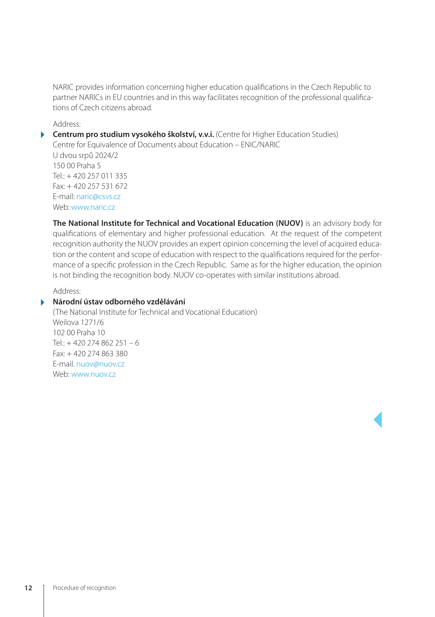NARIC provides information concerning higher education qualifications in the Czech Republic to partner NARICs in EU countries and in this way facilitates recognition of the professional qualifications of Czech citizens abroad.

Address:

**Centrum pro studium vysokého školství, v.v.i.** (Centre for Higher Education Studies) Centre for Equivalence of Documents about Education – ENIC/NARIC U dvou srpů 2024/2 150 00 Praha 5 Tel.: + 420 257 011 335 Fax: + 420 257 531 672 E-mail: naric@csvs.cz Web: www.naric.cz

**The National Institute for Technical and Vocational Education (NUOV)** is an advisory body for qualifications of elementary and higher professional education. At the request of the competent recognition authority the NUOV provides an expert opinion concerning the level of acquired education or the content and scope of education with respect to the qualifications required for the performance of a specific profession in the Czech Republic. Same as for the higher education, the opinion is not binding the recognition body. NUOV co-operates with similar institutions abroad.

Address:

# **Národní ústav odborného vzdělávání**

(The National Institute for Technical and Vocational Education) Weilova 1271/6 102 00 Praha 10 Tel.:  $+420274862251 - 6$ Fax: + 420 274 863 380 E-mail. nuov@nuov.cz Web: www.nuov.cz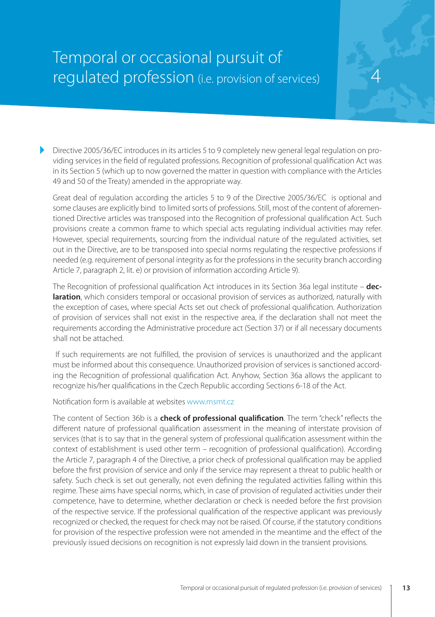# Temporal or occasional pursuit of regulated profession (i.e. provision of services)

Directive 2005/36/EC introduces in its articles 5 to 9 completely new general legal regulation on providing services in the field of regulated professions. Recognition of professional qualification Act was in its Section 5 (which up to now governed the matter in question with compliance with the Articles 49 and 50 of the Treaty) amended in the appropriate way.

4

Great deal of regulation according the articles 5 to 9 of the Directive 2005/36/EC is optional and some clauses are explicitly bind to limited sorts of professions. Still, most of the content of aforementioned Directive articles was transposed into the Recognition of professional qualification Act. Such provisions create a common frame to which special acts regulating individual activities may refer. However, special requirements, sourcing from the individual nature of the regulated activities, set out in the Directive, are to be transposed into special norms regulating the respective professions if needed (e.g. requirement of personal integrity as for the professions in the security branch according Article 7, paragraph 2, lit. e) or provision of information according Article 9).

The Recognition of professional qualification Act introduces in its Section 36a legal institute – **declaration**, which considers temporal or occasional provision of services as authorized, naturally with the exception of cases, where special Acts set out check of professional qualification. Authorization of provision of services shall not exist in the respective area, if the declaration shall not meet the requirements according the Administrative procedure act (Section 37) or if all necessary documents shall not be attached.

 If such requirements are not fulfilled, the provision of services is unauthorized and the applicant must be informed about this consequence. Unauthorized provision of services is sanctioned according the Recognition of professional qualification Act. Anyhow, Section 36a allows the applicant to recognize his/her qualifications in the Czech Republic according Sections 6-18 of the Act.

Notification form is available at websites www.msmt.cz

The content of Section 36b is a **check of professional qualification**. The term "check" reflects the different nature of professional qualification assessment in the meaning of interstate provision of services (that is to say that in the general system of professional qualification assessment within the context of establishment is used other term – recognition of professional qualification). According the Article 7, paragraph 4 of the Directive, a prior check of professional qualification may be applied before the first provision of service and only if the service may represent a threat to public health or safety. Such check is set out generally, not even defining the regulated activities falling within this regime. These aims have special norms, which, in case of provision of regulated activities under their competence, have to determine, whether declaration or check is needed before the first provision of the respective service. If the professional qualification of the respective applicant was previously recognized or checked, the request for check may not be raised. Of course, if the statutory conditions for provision of the respective profession were not amended in the meantime and the effect of the previously issued decisions on recognition is not expressly laid down in the transient provisions.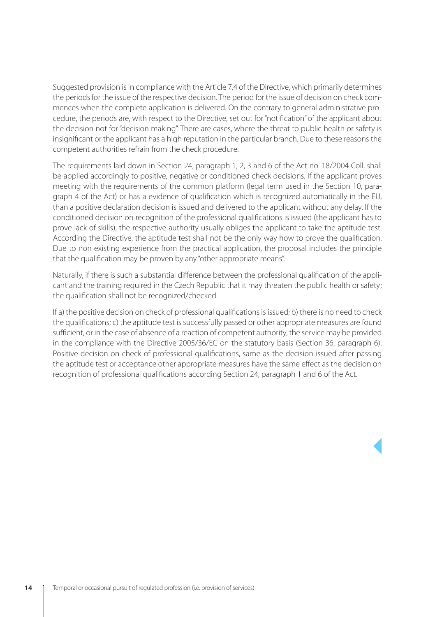Suggested provision is in compliance with the Article 7.4 of the Directive, which primarily determines the periods for the issue of the respective decision. The period for the issue of decision on check commences when the complete application is delivered. On the contrary to general administrative procedure, the periods are, with respect to the Directive, set out for "notification" of the applicant about the decision not for "decision making". There are cases, where the threat to public health or safety is insignificant or the applicant has a high reputation in the particular branch. Due to these reasons the competent authorities refrain from the check procedure.

The requirements laid down in Section 24, paragraph 1, 2, 3 and 6 of the Act no. 18/2004 Coll. shall be applied accordingly to positive, negative or conditioned check decisions. If the applicant proves meeting with the requirements of the common platform (legal term used in the Section 10, paragraph 4 of the Act) or has a evidence of qualification which is recognized automatically in the EU, than a positive declaration decision is issued and delivered to the applicant without any delay. If the conditioned decision on recognition of the professional qualifications is issued (the applicant has to prove lack of skills), the respective authority usually obliges the applicant to take the aptitude test. According the Directive, the aptitude test shall not be the only way how to prove the qualification. Due to non existing experience from the practical application, the proposal includes the principle that the qualification may be proven by any "other appropriate means".

Naturally, if there is such a substantial difference between the professional qualification of the applicant and the training required in the Czech Republic that it may threaten the public health or safety; the qualification shall not be recognized/checked.

If a) the positive decision on check of professional qualifications is issued; b) there is no need to check the qualifications; c) the aptitude test is successfully passed or other appropriate measures are found sufficient, or in the case of absence of a reaction of competent authority, the service may be provided in the compliance with the Directive 2005/36/EC on the statutory basis (Section 36, paragraph 6). Positive decision on check of professional qualifications, same as the decision issued after passing the aptitude test or acceptance other appropriate measures have the same effect as the decision on recognition of professional qualifications according Section 24, paragraph 1 and 6 of the Act.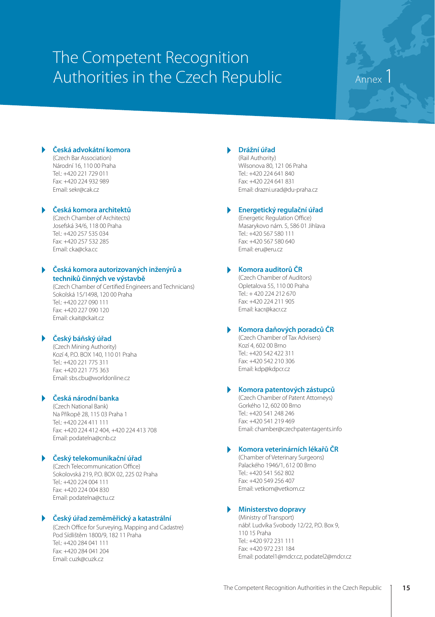# The Competent Recognition Authorities in the Czech Republic Annex

## **Česká advokátní komora**

(Czech Bar Association) Národní 16, 110 00 Praha Tel.: +420 221 729 011 Fax: +420 224 932 989 Email: sekr@cak.cz

# **Česká komora architektů**

(Czech Chamber of Architects) Josefská 34/6, 118 00 Praha Tel.: +420 257 535 034 Fax: +420 257 532 285 Email: cka@cka.cc

# **Česká komora autorizovaných inženýrů a techniků činných ve výstavbě**

(Czech Chamber of Certified Engineers and Technicians) Sokolská 15/1498, 120 00 Praha Tel.: +420 227 090 111 Fax: +420 227 090 120 Email: ckait@ckait.cz

# **Český báňský úřad**

(Czech Mining Authority) Kozí 4, P.O. BOX 140, 110 01 Praha Tel.: +420 221 775 311 Fax: +420 221 775 363 Email: sbs.cbu@worldonline.cz

## **Česká národní banka**

(Czech National Bank) Na Příkopě 28, 115 03 Praha 1 Tel.: +420 224 411 111 Fax: +420 224 412 404, +420 224 413 708 Email: podatelna@cnb.cz

# **Český telekomunikační úřad**

(Czech Telecommunication Office) .<br>Sokolovská 219, P.O. BOX 02, 225 02 Praha  $Tel: +420.224 004 111$ Fax: +420 224 004 830 Email: podatelna@ctu.cz

# **Český úřad zeměměřický a katastrální**

(Czech Office for Surveying, Mapping and Cadastre) Pod Sídlištěm 1800/9, 182 11 Praha Tel.: +420 284 041 111 Fax: +420 284 041 204 Email: cuzk@cuzk.cz

# **Drážní úřad**

(Rail Authority) Wilsonova 80, 121 06 Praha Tel.: +420 224 641 840 Fax: +420 224 641 831 Email: drazni.urad@du-praha.cz

# **Energetický regulační úřad**

(Energetic Regulation Office) Masarykovo nám. 5, 586 01 Jihlava Tel.: +420 567 580 111 Fax: +420 567 580 640 Email: eru@eru.cz

# **Komora auditorů ČR**

(Czech Chamber of Auditors) Opletalova 55, 110 00 Praha Tel.: + 420 224 212 670 Fax: +420 224 211 905 Email: kacr@kacr.cz

# **Komora daňových poradců ČR**

(Czech Chamber of Tax Advisers) Kozí 4, 602 00 Brno Tel.: +420 542 422 311 Fax: +420 542 210 306 Email: kdp@kdpcr.cz

# **Komora patentových zástupců**

(Czech Chamber of Patent Attorneys) Gorkého 12, 602 00 Brno Tel.: +420 541 248 246 Fax: +420 541 219 469 Email: chamber@czechpatentagents.info

## **Komora veterinárních lékařů ČR**

(Chamber of Veterinary Surgeons) Palackého 1946/1, 612 00 Brno Tel.: +420 541 562 802 Fax: +420 549 256 407 Email: vetkom@vetkom.cz

## **Ministerstvo dopravy**

(Ministry of Transport) nábř. Ludvíka Svobody 12/22, P.O. Box 9, 110 15 Praha Tel.: +420 972 231 111 Fax: +420 972 231 184 Email: podatel1@mdcr.cz, podatel2@mdcr.cz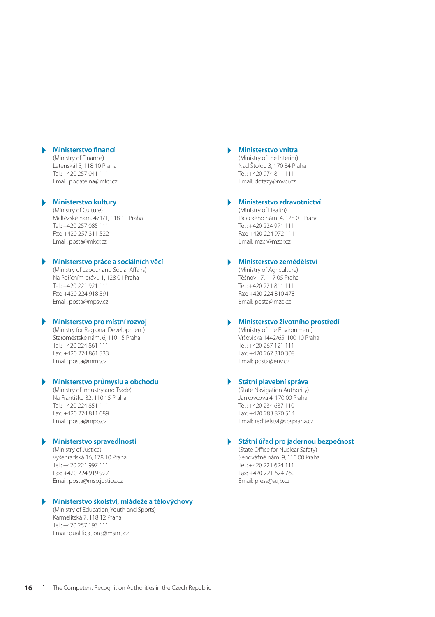## **Ministerstvo financí**

(Ministry of Finance) Letenská15, 118 10 Praha Tel.: +420 257 041 111 Email: podatelna@mfcr.cz

## **Ministerstvo kultury**

(Ministry of Culture) Maltézské nám. 471/1, 118 11 Praha Tel.: +420 257 085 111 Fax: +420 257 311 522 Email: posta@mkcr.cz

# **Ministerstvo práce a sociálních věcí**

(Ministry of Labour and Social Affairs) Na Poříčním právu 1, 128 01 Praha Tel.: +420 221 921 111 Fax: +420 224 918 391 Email: posta@mpsv.cz

# **Ministerstvo pro místní rozvoj**

(Ministry for Regional Development) Staroměstské nám. 6, 110 15 Praha Tel.: +420 224 861 111 Fax: +420 224 861 333 Email: posta@mmr.cz

# **Ministerstvo průmyslu a obchodu**

(Ministry of Industry and Trade) Na Františku 32, 110 15 Praha Tel.: +420 224 851 111 Fax: +420 224 811 089 Email: posta@mpo.cz

### **Ministerstvo spravedlnosti**

(Ministry of Justice) Vyšehradská 16, 128 10 Praha Tel.: +420 221 997 111 Fax: +420 224 919 927 Email: posta@msp.justice.cz

## **Ministerstvo školství, mládeže a tělovýchovy**

(Ministry of Education, Youth and Sports) Karmelitská 7, 118 12 Praha Tel.: +420 257 193 111 Email: qualifications@msmt.cz

### **Ministerstvo vnitra**

(Ministry of the Interior) Nad Štolou 3, 170 34 Praha Tel.: +420 974 811 111 Email: dotazy@mvcr.cz

## **Ministerstvo zdravotnictví**

(Ministry of Health) Palackého nám. 4, 128 01 Praha Tel.: +420 224 971 111 Fax: +420 224 972 111 Email: mzcr@mzcr.cz

# **Ministerstvo zemědělství**

(Ministry of Agriculture) Těšnov 17, 117 05 Praha Tel.: +420 221 811 111 Fax: +420 224 810 478 Email: posta@mze.cz

## **Ministerstvo životního prostředí**

(Ministry of the Environment) Vršovická 1442/65, 100 10 Praha Tel.: +420 267 121 111 Fax: +420 267 310 308 Email: posta@env.cz

# **Státní plavební správa**

(State Navigation Authority) Jankovcova 4, 170 00 Praha Tel.: +420 234 637 110 Fax: +420 283 870 514 Email: reditelstvi@spspraha.cz

## **Státní úřad pro jadernou bezpečnost**

(State Office for Nuclear Safety) Senovážné nám. 9, 110 00 Praha Tel.: +420 221 624 111 Fax: +420 221 624 760 Email: press@sujb.cz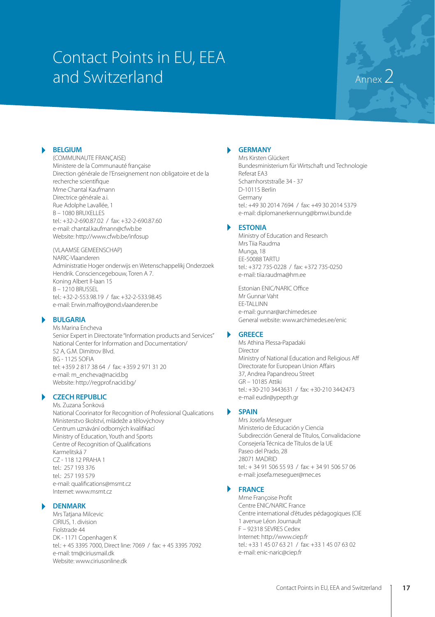# Contact Points in EU, EEA and Switzerland Annex2

# **BELGIUM**

(COMMUNAUTE FRANÇAISE) Ministere de la Communauté française Direction générale de l'Enseignement non obligatoire et de la recherche scientifique Mme Chantal Kaufmann Directrice générale a.i. Rue Adolphe Lavallée, 1 B – 1080 BRUXELLES tel.: +32-2-690.87.02 / fax: +32-2-690.87.60 e-mail: chantal.kaufmann@cfwb.be Website: http://www.cfwb.be/infosup

(VLAAMSE GEMEENSCHAP) NARIC-Vlaanderen Administratie Hoger onderwijs en Wetenschappelikj Onderzoek Hendrik. Consciencegebouw, Toren A 7. Koning Albert II-laan 15 B – 1210 BRUSSEL tel.: +32-2-553.98.19 / fax: +32-2-533.98.45 e-mail: Erwin.malfroy@ond.vlaanderen.be

# **BULGARIA**

Ms Marina Encheva Senior Expert in Directorate "Information products and Services" National Center for Information and Documentation/ 52 A, G.M. Dimitrov Blvd.  $BC = 1125 COEIA$ tel: +359 2 817 38 64 / fax: +359 2 971 31 20 e-mail: m\_encheva@nacid.bg Website: http://regprof.nacid.bg/

# **CZECH REPUBLIC**

Ms. Zuzana Šonková National Coorinator for Recognition of Professional Qualications Ministerstvo školství, mládeže a tělovýchovy Centrum uznávání odborných kvalifikací Ministry of Education, Youth and Sports Centre of Recognition of Qualifications Karmelitská 7 CZ - 118 12 PRAHA 1 tel.: 257 193 376 tel.: 257 193 579 e-mail: qualifications@msmt.cz Internet: www.msmt.cz

### **DENMARK**

Mrs Tatjana Milcevic CIRIUS, 1. division Fiolstrade 44 DK - 1171 Copenhagen K tel.: + 45 3395 7000, Direct line: 7069 / fax: + 45 3395 7092 e-mail: tm@ciriusmail.dk Website: www.ciriusonline.dk

# **GERMANY**

Mrs Kirsten Glückert Bundesministerium für Wirtschaft und Technologie Referat EA3 Scharnhorststraße 34 - 37 D-10115 Berlin Germany tel.: +49 30 2014 7694 / fax: +49 30 2014 5379 e-mail: diplomanerkennung@bmwi.bund.de

### **ESTONIA**

Ministry of Education and Research Mrs Tiia Raudma Munga, 18 EE-50088 TARTU tel.: +372 735-0228 / fax: +372 735-0250 e-mail: tiia.raudma@hm.ee

Estonian ENIC/NARIC Office Mr Gunnar Vaht EE-TALLINN e-mail: gunnar@archimedes.ee General website: www.archimedes.ee/enic

## **GREECE**

Ms Athina Plessa-Papadaki Director Ministry of National Education and Religious Aff Directorate for European Union Affairs 37, Andrea Papandreou Street  $CD = 10195$  Attiki tel.: +30-210 3443631 / fax: +30-210 3442473 e-mail eudir@ypepth.gr

# **SPAIN**

Mrs Josefa Meseguer Ministerio de Educación y Ciencia Subdirección General de Títulos, Convalidacione Consejería Técnica de Títulos de la UE Paseo del Prado, 28 28071 MADRID tel.: + 34 91 506 55 93 / fax: + 34 91 506 57 06 e-mail: josefa.meseguer@mec.es

# **FRANCE**

Mme Françoise Profit Centre ENIC/NARIC France Centre international d'études pédagogiques (CIE 1 avenue Léon Journault F – 92318 SEVRES Cedex Internet: http://www.ciep.fr tel.: +33 1 45 07 63 21 / fax: +33 1 45 07 63 02 e-mail: enic-naric@ciep.fr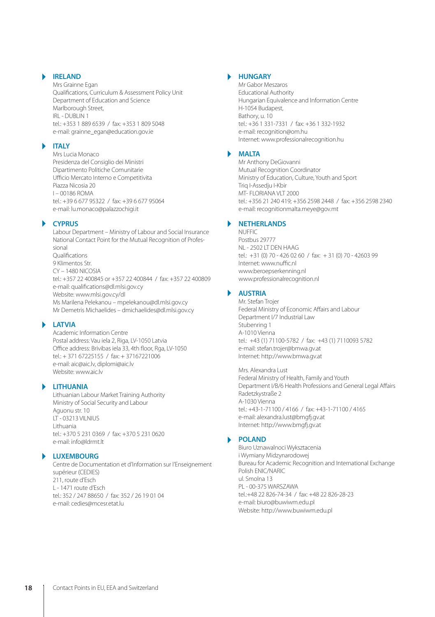# **IRELAND**

Mrs Grainne Egan Qualifications, Curriculum & Assessment Policy Unit Department of Education and Science Marlborough Street, IRL - DUBLIN 1 tel.: +353 1 889 6539 / fax: +353 1 809 5048 e-mail: grainne\_egan@education.gov.ie

# **ITALY**

Mrs Lucia Monaco Presidenza del Consiglio dei Ministri Dipartimento Politiche Comunitarie Ufficio Mercato Interno e Competitivita Piazza Nicosia 20 I – 00186 ROMA tel.: +39 6 677 95322 / fax: +39 6 677 95064 e-mail: lu.monaco@palazzochigi.it

# **CYPRUS**

Labour Department – Ministry of Labour and Social Insurance National Contact Point for the Mutual Recognition of Professional Qualifications 9 Klimentos Str. CY – 1480 NICOSIA tel.: +357 22 400845 or +357 22 400844 / fax: +357 22 400809 e-mail: qualifications@dl.mlsi.gov.cy Website: www.mlsi.gov.cy/dl Ms Marilena Pelekanou – mpelekanou@dl.mlsi.gov.cy Mr Demetris Michaelides – dmichaelides@dl.mlsi.gov.cy

### **LATVIA**

Academic Information Centre Postal address: Vau iela 2, Riga, LV-1050 Latvia Office address: Brivibas iela 33, 4th floor, Rga, LV-1050 tel.: + 371 67225155 / fax: + 37167221006 e-mail: aic@aic.lv, diplomi@aic.lv Website: www.aic.lv

# **LITHUANIA**

Lithuanian Labour Market Training Authority Ministry of Social Security and Labour Aguonu str. 10 LT - 03213 VILNIUS Lithuania tel.: +370 5 231 0369 / fax: +370 5 231 0620 e-mail: info@ldrmt.lt

## **LUXEMBOURG**

Centre de Documentation et d'Information sur l'Enseignement supérieur (CEDIES) 211, route d'Esch L - 1471 route d'Esch tel.: 352 / 247 88650 / fax: 352 / 26 19 01 04 e-mail: cedies@mcesr.etat.lu

# **HUNGARY**

Mr Gabor Meszaros Educational Authority Hungarian Equivalence and Information Centre H-1054 Budapest, Bathory, u. 10 tel.: +36 1 331-7331 / fax: +36 1 332-1932 e-mail: recognition@om.hu Internet: www.professionalrecognition.hu

# **MALTA**

Mr Anthony DeGiovanni Mutual Recognition Coordinator Ministry of Education, Culture, Youth and Sport Triq I-Assedju I-Kbir MT- FLORIANA VLT 2000 tel.: +356 21 240 419; +356 2598 2448 / fax: +356 2598 2340 e-mail: recognitionmalta.meye@gov.mt

# **NETHERLANDS**

NUFFIC Postbus 29777 NL - 2502 LT DEN HAAG tel.: +31 (0) 70 - 426 02 60 / fax: + 31 (0) 70 - 42603 99 Internet: www.nuffic.nl www.beroepserkenning.nl www.professionalrecognition.nl

# **AUSTRIA**

Mr. Stefan Trojer Federal Ministry of Economic Affairs and Labour Department I/7 Industrial Law Stubenring 1 A-1010 Vienna tel.: +43 (1) 71100-5782 / fax: +43 (1) 7110093 5782 e-mail: stefan.trojer@bmwa.gv.at Internet: http://www.bmwa.gv.at

Mrs. Alexandra Lust Federal Ministry of Health, Family and Youth Department I/B/6 Health Professions and General Legal Affairs Radetzkystraße 2 A-1030 Vienna tel.: +43-1-71100 / 4166 / fax: +43-1-71100 / 4165 e-mail: alexandra.lust@bmgfj.gv.at Internet: http://www.bmgfj.gv.at

## **POLAND**

Biuro Uznawalnoci Wyksztacenia i Wymiany Midzynarodowej Bureau for Academic Recognition and International Exchange Polish ENIC/NARIC ul. Smolna 13 PL - 00-375 WARSZAWA tel.:+48 22 826-74-34 / fax: +48 22 826-28-23 e-mail: biuro@buwiwm.edu.pl Website: http://www.buwiwm.edu.pl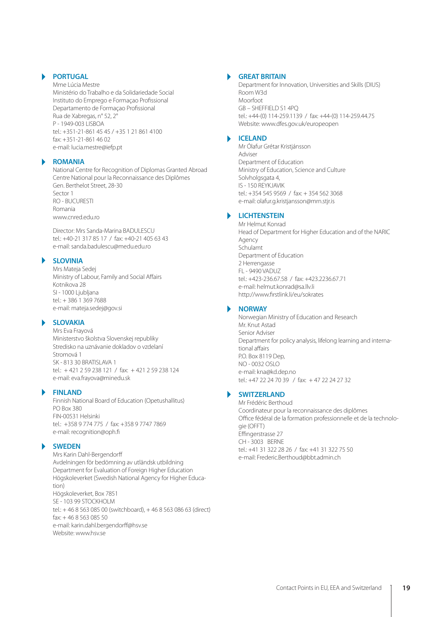# **PORTUGAL**

Mme Lúcia Mestre Ministério do Trabalho e da Solidariedade Social Instituto do Emprego e Formaçao Profissional Departamento de Formaçao Profissional Rua de Xabregas, n° 52, 2° P - 1949-003 LISBOA tel: +351-21-861 45 45 / +35 1 21 861 4100 fax: +351-21-861 46 02 e-mail: lucia.mestre@iefp.pt

## **ROMANIA**

National Centre for Recognition of Diplomas Granted Abroad Centre National pour la Reconnaissance des Diplômes Gen. Berthelot Street, 28-30 Sector 1 RO - BUCURESTI Romania www.cnred.edu.ro

Director: Mrs Sanda-Marina BADULESCU tel.: +40-21 317 85 17 / fax: +40-21 405 63 43 e-mail: sanda.badulescu@medu.edu.ro

# **SLOVINIA**

Mrs Mateja Sedej Ministry of Labour, Family and Social Affairs Kotnikova 28 SI - 1000 Ljubljana tel.: + 386 1 369 7688 e-mail: mateja.sedej@gov.si

# **SLOVAKIA**

Mrs Eva Frayová Ministerstvo školstva Slovenskej republiky Stredisko na uznávanie dokladov o vzdelaní Stromová 1 SK - 813 30 BRATISLAVA 1 tel.: + 421 2 59 238 121 / fax: + 421 2 59 238 124 e-mail: eva.frayova@minedu.sk

# **FINLAND**

Finnish National Board of Education (Opetushallitus) PO Box 380 FIN-00531 Helsinki tel.: +358 9 774 775 / fax: +358 9 7747 7869 e-mail: recognition@oph.fi

## **SWEDEN**

Mrs Karin Dahl-Bergendorff Avdelningen för bedömning av utländsk utbildning Department for Evaluation of Foreign Higher Education Högskoleverket (Swedish National Agency for Higher Education) Högskoleverket, Box 7851 SE - 103 99 STOCKHOLM tel.: + 46 8 563 085 00 (switchboard), + 46 8 563 086 63 (direct) fax: + 46 8 563 085 50 e-mail: karin.dahl.bergendorff@hsv.se Website: www.hsv.se

# **GREAT BRITAIN**

Department for Innovation, Universities and Skills (DIUS) Room W3d Moorfoot GB – SHEFFIELD S1 4PQ tel.: +44-(0) 114-259.1139 / fax: +44-(0) 114-259.44.75 Website: www.dfes.gov.uk/europeopen

# **ICELAND**

Mr Ólafur Grétar Kristjánsson Adviser Department of Education Ministry of Education, Science and Culture Solvholgsgata 4, IS - 150 REYKJAVIK tel.: +354 545 9569 / fax: + 354 562 3068 e-mail: olafur.g.kristjansson@mrn.stjr.is

# **LICHTENSTEIN**

Mr Helmut Konrad Head of Department for Higher Education and of the NARIC Agency Schulamt Department of Education 2 Herrengasse FL - 9490 VADUZ tel.: +423-236.67.58 / fax: +423.2236.67.71 e-mail: helmut.konrad@sa.llv.li http://www.firstlink.li/eu/sokrates

# **NORWAY**

Norwegian Ministry of Education and Research Mr. Knut Astad Senior Adviser Department for policy analysis, lifelong learning and international affairs P.O. Box 8119 Dep, NO - 0032 OSLO e-mail: kna@kd.dep.no tel.: +47 22 24 70 39 / fax: + 47 22 24 27 32

# **SWITZERLAND**

Mr Frédéric Berthoud Coordinateur pour la reconnaissance des diplômes Office fédéral de la formation professionnelle et de la technologie (OFFT) Effingerstrasse 27 CH - 3003 BERNE tel.: +41 31 322 28 26 / fax: +41 31 322 75 50 e-mail: Frederic.Berthoud@bbt.admin.ch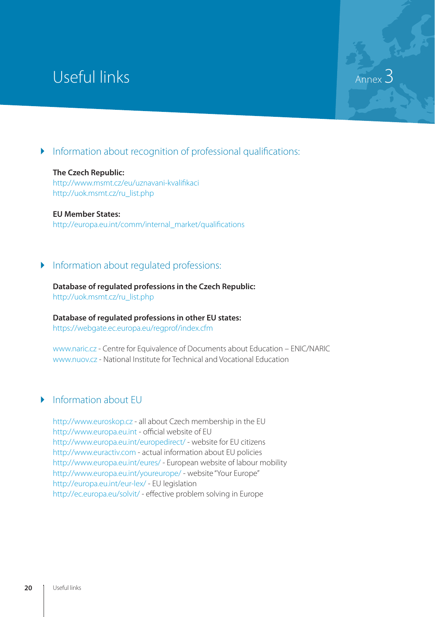# Useful links

Information about recognition of professional qualifications:

Annex<sup>3</sup>

# **The Czech Republic:** http://www.msmt.cz/eu/uznavani-kvalifikaci http://uok.msmt.cz/ru\_list.php

**EU Member States:** http://europa.eu.int/comm/internal\_market/qualifications

# Information about regulated professions:

**Database of regulated professions in the Czech Republic:** http://uok.msmt.cz/ru\_list.php

**Database of regulated professions in other EU states:** https://webgate.ec.europa.eu/regprof/index.cfm

www.naric.cz - Centre for Equivalence of Documents about Education – ENIC/NARIC www.nuov.cz - National Institute for Technical and Vocational Education

# Information about EU

http://www.euroskop.cz - all about Czech membership in the EU http://www.europa.eu.int - official website of EU http://www.europa.eu.int/europedirect/ - website for EU citizens http://www.euractiv.com - actual information about EU policies http://www.europa.eu.int/eures/ - European website of labour mobility http://www.europa.eu.int/youreurope/ - website "Your Europe" http://europa.eu.int/eur-lex/ - EU legislation http://ec.europa.eu/solvit/ - effective problem solving in Europe